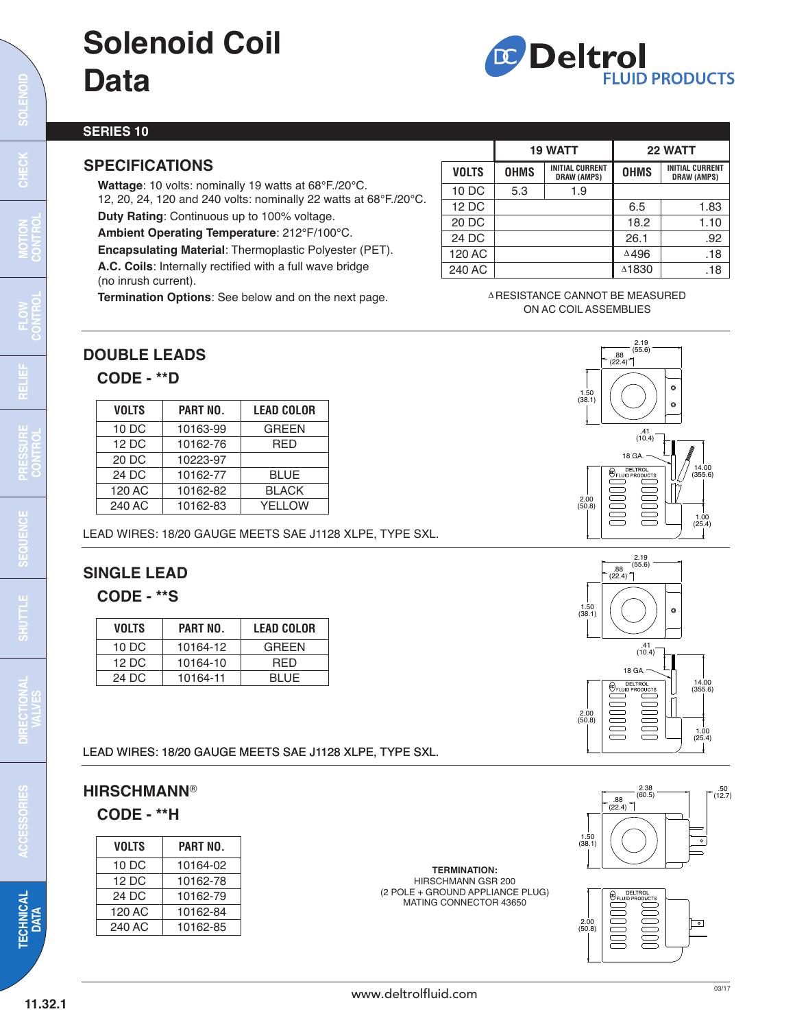## **Solenoid Coil Data**



#### **SERIES 10**

#### **SPECIFICATIONS**

**Wattage**: 10 volts: nominally 19 watts at 68°F./20°C.

12, 20, 24, 120 and 240 volts: nominally 22 watts at 68°F./20°C. **Duty Rating**: Continuous up to 100% voltage.

**Ambient Operating Temperature**: 212°F/100°C.

**Encapsulating Material**: Thermoplastic Polyester (PET). **A.C. Coils**: Internally rectified with a full wave bridge (no inrush current).

**Termination Options**: See below and on the next page.

|              | <b>19 WATT</b> |                                              |                 | 22 WATT                                      |
|--------------|----------------|----------------------------------------------|-----------------|----------------------------------------------|
| <b>VOLTS</b> | <b>OHMS</b>    | <b>INITIAL CURRENT</b><br><b>DRAW (AMPS)</b> | <b>OHMS</b>     | <b>INITIAL CURRENT</b><br><b>DRAW (AMPS)</b> |
| 10 DC        | 5.3            | 1.9                                          |                 |                                              |
| 12 DC        |                |                                              | 6.5             | 1.83                                         |
| 20 DC        |                |                                              | 18.2            | 1.10                                         |
| 24 DC        |                |                                              | 26.1            | .92                                          |
| 120 AC       |                |                                              | $\triangle$ 496 | .18                                          |
| 240 AC       |                |                                              | △1830           | .18                                          |

A RESISTANCE CANNOT BE MEASURED ON AC COIL ASSEMBLIES

#### **DOUBLE LEADS**

#### **CODE - \*\*D**

| <b>VOLTS</b> | <b>PART NO.</b> | <b>LEAD COLOR</b> |
|--------------|-----------------|-------------------|
| 10 DC        | 10163-99        | <b>GREEN</b>      |
| 12 DC        | 10162-76        | <b>RED</b>        |
| 20 DC        | 10223-97        |                   |
| 24 DC        | 10162-77        | <b>BLUE</b>       |
| 120 AC       | 10162-82        | <b>BLACK</b>      |
| 240 AC       | 10162-83        | <b>YELLOW</b>     |

LEAD WIRES: 18/20 GAUGE MEETS SAE J1128 XLPE, TYPE SXL.

#### **SINGLE LEAD**

#### **CODE - \*\*S**

| <b>VOLTS</b> | <b>PART NO.</b> | <b>LEAD COLOR</b> |
|--------------|-----------------|-------------------|
| 10 DC        | 10164-12        | GREEN             |
| 12 D.C       | 10164-10        | <b>RED</b>        |
| 24 D.C       | 10164-11        | BLUE.             |

LEAD WIRES: 18/20 GAUGE MEETS SAE J1128 XLPE, TYPE SXL.

#### **HIRSCHMANN**® **CODE - \*\*H**

| <b>VOLTS</b> | PART NO. |
|--------------|----------|
| 10 DC        | 10164-02 |
| 12 DC        | 10162-78 |
| 24 DC        | 10162-79 |
| 120 AC       | 10162-84 |
| 240 AC       | 10162-85 |

**TERMINATION:** HIRSCHMANN GSR 200 (2 POLE + GROUND APPLIANCE PLUG) MATING CONNECTOR 43650



 $2.19$ <br>(55.6)





l

 $\mathbf C$ **ONROL**

**HEC K**

**SOLEN OID**

**ONROL**

**DIREC TIO NAL**

**VALVES**

**TEC H NIC**

**AL DATA**

 $\mathbf{\mathbf{C}}$ **CES O**<u>က</u>